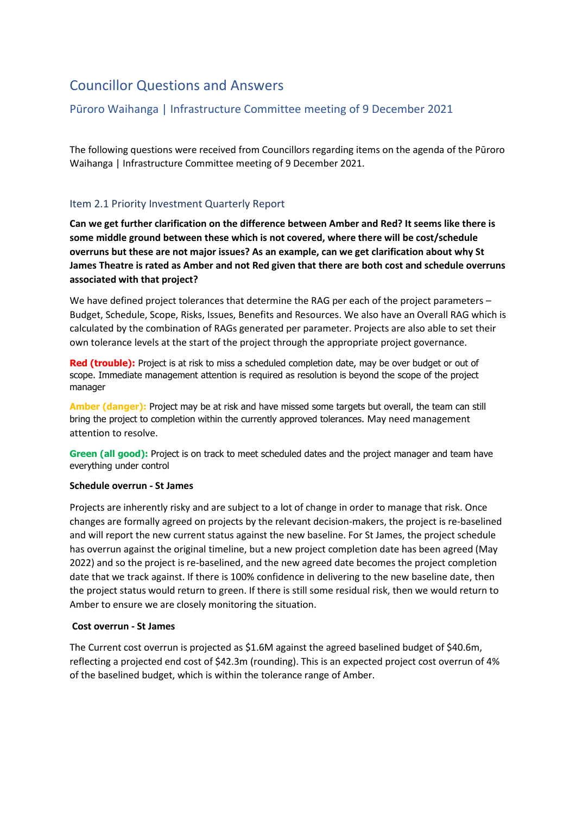# Councillor Questions and Answers

## Pūroro Waihanga | Infrastructure Committee meeting of 9 December 2021

The following questions were received from Councillors regarding items on the agenda of the Pūroro Waihanga | Infrastructure Committee meeting of 9 December 2021.

### Item 2.1 Priority Investment Quarterly Report

**Can we get further clarification on the difference between Amber and Red? It seems like there is some middle ground between these which is not covered, where there will be cost/schedule overruns but these are not major issues? As an example, can we get clarification about why St James Theatre is rated as Amber and not Red given that there are both cost and schedule overruns associated with that project?**

We have defined project tolerances that determine the RAG per each of the project parameters – Budget, Schedule, Scope, Risks, Issues, Benefits and Resources. We also have an Overall RAG which is calculated by the combination of RAGs generated per parameter. Projects are also able to set their own tolerance levels at the start of the project through the appropriate project governance.

**Red (trouble):** Project is at risk to miss a scheduled completion date, may be over budget or out of scope. Immediate management attention is required as resolution is beyond the scope of the project manager

**Amber (danger):** Project may be at risk and have missed some targets but overall, the team can still bring the project to completion within the currently approved tolerances. May need management attention to resolve.

**Green (all good):** Project is on track to meet scheduled dates and the project manager and team have everything under control

#### **Schedule overrun - St James**

Projects are inherently risky and are subject to a lot of change in order to manage that risk. Once changes are formally agreed on projects by the relevant decision-makers, the project is re-baselined and will report the new current status against the new baseline. For St James, the project schedule has overrun against the original timeline, but a new project completion date has been agreed (May 2022) and so the project is re-baselined, and the new agreed date becomes the project completion date that we track against. If there is 100% confidence in delivering to the new baseline date, then the project status would return to green. If there is still some residual risk, then we would return to Amber to ensure we are closely monitoring the situation.

#### **Cost overrun - St James**

The Current cost overrun is projected as \$1.6M against the agreed baselined budget of \$40.6m, reflecting a projected end cost of \$42.3m (rounding). This is an expected project cost overrun of 4% of the baselined budget, which is within the tolerance range of Amber.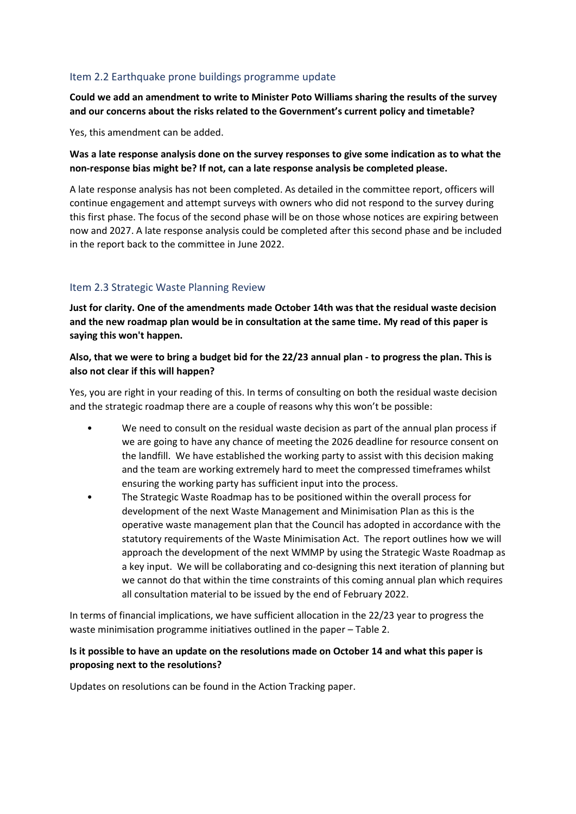### Item 2.2 Earthquake prone buildings programme update

**Could we add an amendment to write to Minister Poto Williams sharing the results of the survey and our concerns about the risks related to the Government's current policy and timetable?**

Yes, this amendment can be added.

**Was a late response analysis done on the survey responses to give some indication as to what the non-response bias might be? If not, can a late response analysis be completed please.**

A late response analysis has not been completed. As detailed in the committee report, officers will continue engagement and attempt surveys with owners who did not respond to the survey during this first phase. The focus of the second phase will be on those whose notices are expiring between now and 2027. A late response analysis could be completed after this second phase and be included in the report back to the committee in June 2022.

### Item 2.3 Strategic Waste Planning Review

**Just for clarity. One of the amendments made October 14th was that the residual waste decision and the new roadmap plan would be in consultation at the same time. My read of this paper is saying this won't happen.**

### **Also, that we were to bring a budget bid for the 22/23 annual plan - to progress the plan. This is also not clear if this will happen?**

Yes, you are right in your reading of this. In terms of consulting on both the residual waste decision and the strategic roadmap there are a couple of reasons why this won't be possible:

- We need to consult on the residual waste decision as part of the annual plan process if we are going to have any chance of meeting the 2026 deadline for resource consent on the landfill. We have established the working party to assist with this decision making and the team are working extremely hard to meet the compressed timeframes whilst ensuring the working party has sufficient input into the process.
- The Strategic Waste Roadmap has to be positioned within the overall process for development of the next Waste Management and Minimisation Plan as this is the operative waste management plan that the Council has adopted in accordance with the statutory requirements of the Waste Minimisation Act. The report outlines how we will approach the development of the next WMMP by using the Strategic Waste Roadmap as a key input. We will be collaborating and co-designing this next iteration of planning but we cannot do that within the time constraints of this coming annual plan which requires all consultation material to be issued by the end of February 2022.

In terms of financial implications, we have sufficient allocation in the 22/23 year to progress the waste minimisation programme initiatives outlined in the paper – Table 2.

### **Is it possible to have an update on the resolutions made on October 14 and what this paper is proposing next to the resolutions?**

Updates on resolutions can be found in the Action Tracking paper.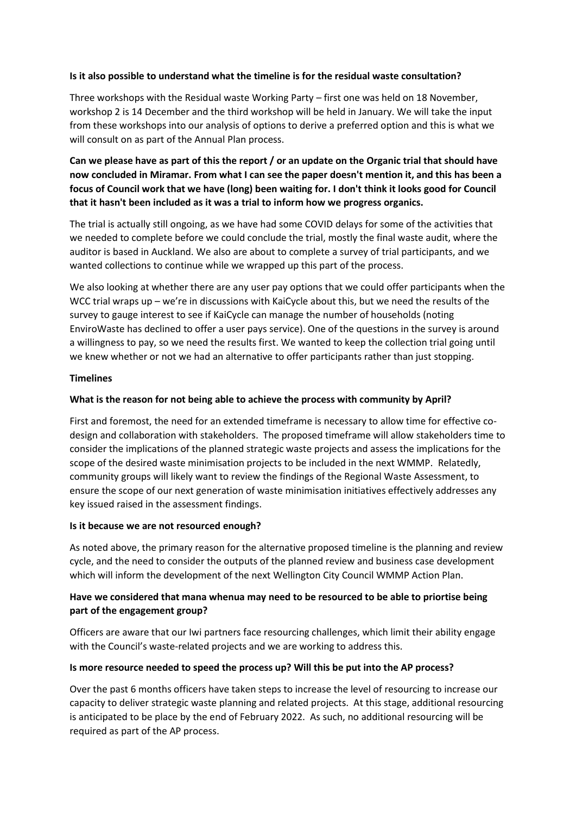#### **Is it also possible to understand what the timeline is for the residual waste consultation?**

Three workshops with the Residual waste Working Party – first one was held on 18 November, workshop 2 is 14 December and the third workshop will be held in January. We will take the input from these workshops into our analysis of options to derive a preferred option and this is what we will consult on as part of the Annual Plan process.

### **Can we please have as part of this the report / or an update on the Organic trial that should have now concluded in Miramar. From what I can see the paper doesn't mention it, and this has been a focus of Council work that we have (long) been waiting for. I don't think it looks good for Council that it hasn't been included as it was a trial to inform how we progress organics.**

The trial is actually still ongoing, as we have had some COVID delays for some of the activities that we needed to complete before we could conclude the trial, mostly the final waste audit, where the auditor is based in Auckland. We also are about to complete a survey of trial participants, and we wanted collections to continue while we wrapped up this part of the process.

We also looking at whether there are any user pay options that we could offer participants when the WCC trial wraps up – we're in discussions with KaiCycle about this, but we need the results of the survey to gauge interest to see if KaiCycle can manage the number of households (noting EnviroWaste has declined to offer a user pays service). One of the questions in the survey is around a willingness to pay, so we need the results first. We wanted to keep the collection trial going until we knew whether or not we had an alternative to offer participants rather than just stopping.

#### **Timelines**

### **What is the reason for not being able to achieve the process with community by April?**

First and foremost, the need for an extended timeframe is necessary to allow time for effective codesign and collaboration with stakeholders. The proposed timeframe will allow stakeholders time to consider the implications of the planned strategic waste projects and assess the implications for the scope of the desired waste minimisation projects to be included in the next WMMP. Relatedly, community groups will likely want to review the findings of the Regional Waste Assessment, to ensure the scope of our next generation of waste minimisation initiatives effectively addresses any key issued raised in the assessment findings.

#### **Is it because we are not resourced enough?**

As noted above, the primary reason for the alternative proposed timeline is the planning and review cycle, and the need to consider the outputs of the planned review and business case development which will inform the development of the next Wellington City Council WMMP Action Plan.

### **Have we considered that mana whenua may need to be resourced to be able to priortise being part of the engagement group?**

Officers are aware that our Iwi partners face resourcing challenges, which limit their ability engage with the Council's waste-related projects and we are working to address this.

#### **Is more resource needed to speed the process up? Will this be put into the AP process?**

Over the past 6 months officers have taken steps to increase the level of resourcing to increase our capacity to deliver strategic waste planning and related projects. At this stage, additional resourcing is anticipated to be place by the end of February 2022. As such, no additional resourcing will be required as part of the AP process.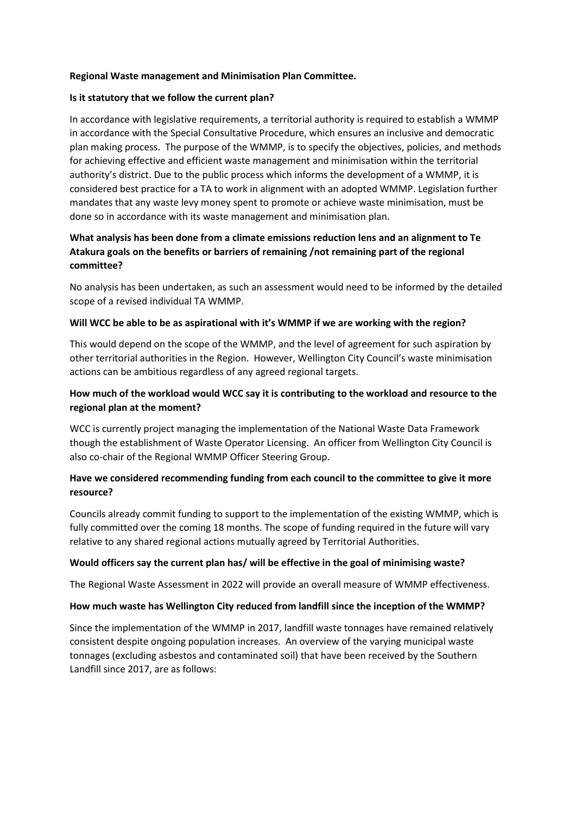### **Regional Waste management and Minimisation Plan Committee.**

#### **Is it statutory that we follow the current plan?**

In accordance with legislative requirements, a territorial authority is required to establish a WMMP in accordance with the Special Consultative Procedure, which ensures an inclusive and democratic plan making process. The purpose of the WMMP, is to specify the objectives, policies, and methods for achieving effective and efficient waste management and minimisation within the territorial authority's district. Due to the public process which informs the development of a WMMP, it is considered best practice for a TA to work in alignment with an adopted WMMP. Legislation further mandates that any waste levy money spent to promote or achieve waste minimisation, must be done so in accordance with its waste management and minimisation plan.

### **What analysis has been done from a climate emissions reduction lens and an alignment to Te Atakura goals on the benefits or barriers of remaining /not remaining part of the regional committee?**

No analysis has been undertaken, as such an assessment would need to be informed by the detailed scope of a revised individual TA WMMP.

### **Will WCC be able to be as aspirational with it's WMMP if we are working with the region?**

This would depend on the scope of the WMMP, and the level of agreement for such aspiration by other territorial authorities in the Region. However, Wellington City Council's waste minimisation actions can be ambitious regardless of any agreed regional targets.

### **How much of the workload would WCC say it is contributing to the workload and resource to the regional plan at the moment?**

WCC is currently project managing the implementation of the National Waste Data Framework though the establishment of Waste Operator Licensing. An officer from Wellington City Council is also co-chair of the Regional WMMP Officer Steering Group.

### **Have we considered recommending funding from each council to the committee to give it more resource?**

Councils already commit funding to support to the implementation of the existing WMMP, which is fully committed over the coming 18 months. The scope of funding required in the future will vary relative to any shared regional actions mutually agreed by Territorial Authorities.

#### **Would officers say the current plan has/ will be effective in the goal of minimising waste?**

The Regional Waste Assessment in 2022 will provide an overall measure of WMMP effectiveness.

#### **How much waste has Wellington City reduced from landfill since the inception of the WMMP?**

Since the implementation of the WMMP in 2017, landfill waste tonnages have remained relatively consistent despite ongoing population increases. An overview of the varying municipal waste tonnages (excluding asbestos and contaminated soil) that have been received by the Southern Landfill since 2017, are as follows: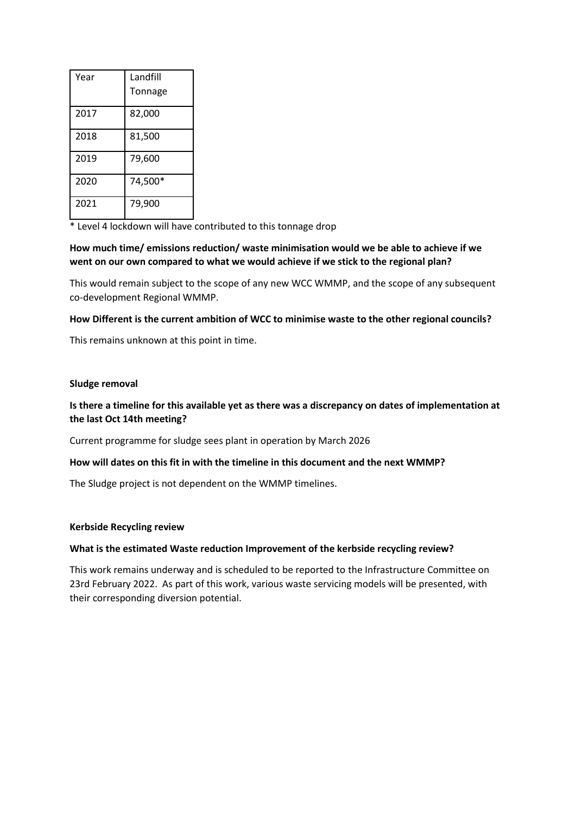| Year | Landfill |
|------|----------|
|      | Tonnage  |
| 2017 | 82,000   |
| 2018 | 81,500   |
| 2019 | 79,600   |
| 2020 | 74,500*  |
| 2021 | 79,900   |

\* Level 4 lockdown will have contributed to this tonnage drop

### **How much time/ emissions reduction/ waste minimisation would we be able to achieve if we went on our own compared to what we would achieve if we stick to the regional plan?**

This would remain subject to the scope of any new WCC WMMP, and the scope of any subsequent co-development Regional WMMP.

### **How Different is the current ambition of WCC to minimise waste to the other regional councils?**

This remains unknown at this point in time.

#### **Sludge removal**

### **Is there a timeline for this available yet as there was a discrepancy on dates of implementation at the last Oct 14th meeting?**

Current programme for sludge sees plant in operation by March 2026

#### **How will dates on this fit in with the timeline in this document and the next WMMP?**

The Sludge project is not dependent on the WMMP timelines.

#### **Kerbside Recycling review**

#### **What is the estimated Waste reduction Improvement of the kerbside recycling review?**

This work remains underway and is scheduled to be reported to the Infrastructure Committee on 23rd February 2022. As part of this work, various waste servicing models will be presented, with their corresponding diversion potential.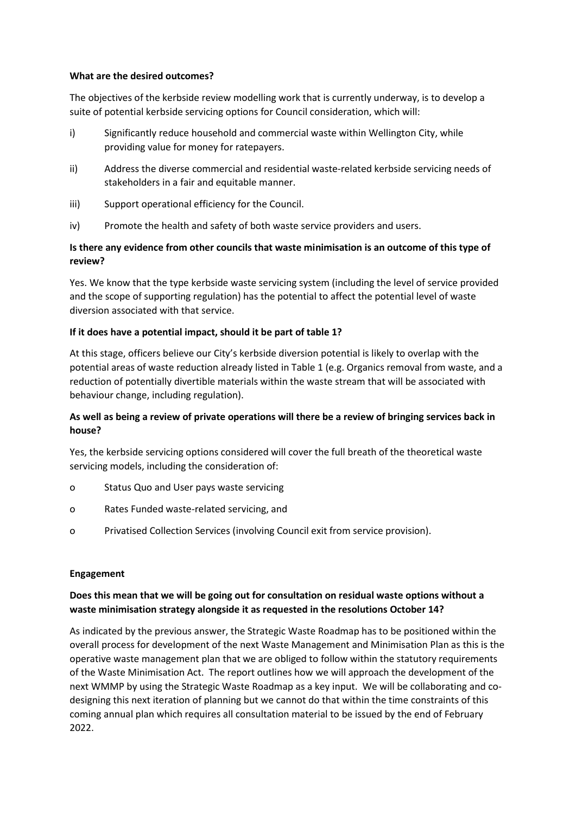#### **What are the desired outcomes?**

The objectives of the kerbside review modelling work that is currently underway, is to develop a suite of potential kerbside servicing options for Council consideration, which will:

- i) Significantly reduce household and commercial waste within Wellington City, while providing value for money for ratepayers.
- ii) Address the diverse commercial and residential waste-related kerbside servicing needs of stakeholders in a fair and equitable manner.
- iii) Support operational efficiency for the Council.
- iv) Promote the health and safety of both waste service providers and users.

### **Is there any evidence from other councils that waste minimisation is an outcome of this type of review?**

Yes. We know that the type kerbside waste servicing system (including the level of service provided and the scope of supporting regulation) has the potential to affect the potential level of waste diversion associated with that service.

### **If it does have a potential impact, should it be part of table 1?**

At this stage, officers believe our City's kerbside diversion potential is likely to overlap with the potential areas of waste reduction already listed in Table 1 (e.g. Organics removal from waste, and a reduction of potentially divertible materials within the waste stream that will be associated with behaviour change, including regulation).

### **As well as being a review of private operations will there be a review of bringing services back in house?**

Yes, the kerbside servicing options considered will cover the full breath of the theoretical waste servicing models, including the consideration of:

- o Status Quo and User pays waste servicing
- o Rates Funded waste-related servicing, and
- o Privatised Collection Services (involving Council exit from service provision).

#### **Engagement**

### **Does this mean that we will be going out for consultation on residual waste options without a waste minimisation strategy alongside it as requested in the resolutions October 14?**

As indicated by the previous answer, the Strategic Waste Roadmap has to be positioned within the overall process for development of the next Waste Management and Minimisation Plan as this is the operative waste management plan that we are obliged to follow within the statutory requirements of the Waste Minimisation Act. The report outlines how we will approach the development of the next WMMP by using the Strategic Waste Roadmap as a key input. We will be collaborating and codesigning this next iteration of planning but we cannot do that within the time constraints of this coming annual plan which requires all consultation material to be issued by the end of February 2022.